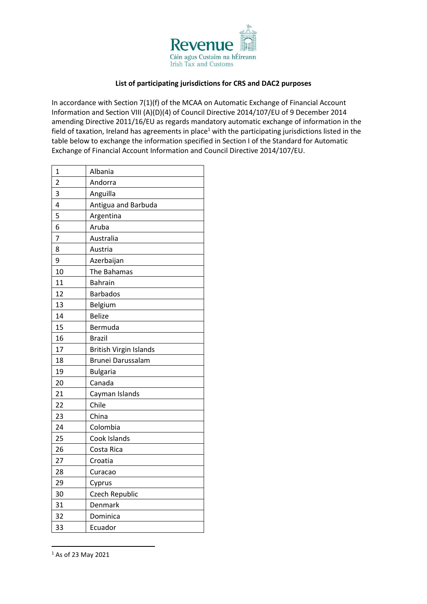

## **List of participating jurisdictions for CRS and DAC2 purposes**

In accordance with Section 7(1)(f) of the MCAA on Automatic Exchange of Financial Account Information and Section VIII (A)(D)(4) of Council Directive 2014/107/EU of 9 December 2014 amending Directive 2011/16/EU as regards mandatory automatic exchange of information in the field of taxation, Ireland has agreements in place<sup>1</sup> with the participating jurisdictions listed in the table below to exchange the information specified in Section I of the Standard for Automatic Exchange of Financial Account Information and Council Directive 2014/107/EU.

| 1              | Albania                |
|----------------|------------------------|
| $\overline{c}$ | Andorra                |
| 3              | Anguilla               |
| 4              | Antigua and Barbuda    |
| 5              | Argentina              |
| 6              | Aruba                  |
| 7              | Australia              |
| 8              | Austria                |
| 9              | Azerbaijan             |
| 10             | The Bahamas            |
| 11             | <b>Bahrain</b>         |
| 12             | <b>Barbados</b>        |
| 13             | Belgium                |
| 14             | <b>Belize</b>          |
| 15             | Bermuda                |
| 16             | <b>Brazil</b>          |
| 17             | British Virgin Islands |
| 18             | Brunei Darussalam      |
| 19             | <b>Bulgaria</b>        |
| 20             | Canada                 |
| 21             | Cayman Islands         |
| 22             | Chile                  |
| 23             | China                  |
| 24             | Colombia               |
| 25             | Cook Islands           |
| 26             | Costa Rica             |
| 27             | Croatia                |
| 28             | Curacao                |
| 29             | Cyprus                 |
| 30             | Czech Republic         |
| 31             | Denmark                |
| 32             | Dominica               |
| 33             | Ecuador                |

As of 23 May 2021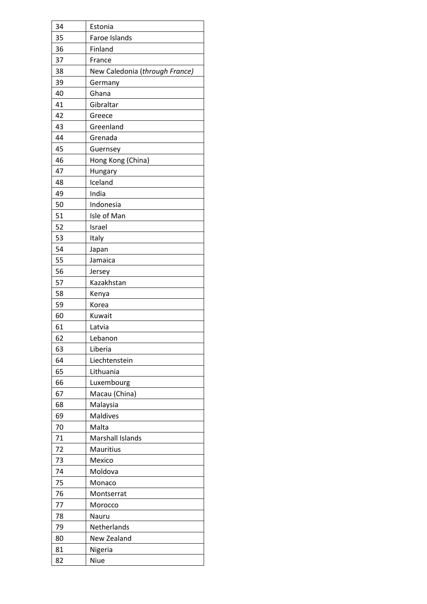| 34 | Estonia                        |
|----|--------------------------------|
| 35 | Faroe Islands                  |
| 36 | Finland                        |
| 37 | France                         |
| 38 | New Caledonia (through France) |
| 39 | Germany                        |
| 40 | Ghana                          |
| 41 | Gibraltar                      |
| 42 | Greece                         |
| 43 | Greenland                      |
| 44 | Grenada                        |
| 45 | Guernsey                       |
| 46 | Hong Kong (China)              |
| 47 | Hungary                        |
| 48 | Iceland                        |
| 49 | India                          |
| 50 | Indonesia                      |
| 51 | Isle of Man                    |
| 52 | Israel                         |
| 53 | Italy                          |
| 54 | Japan                          |
| 55 | Jamaica                        |
| 56 | Jersey                         |
| 57 | Kazakhstan                     |
| 58 | Kenya                          |
| 59 | Korea                          |
| 60 | Kuwait                         |
| 61 | Latvia                         |
| 62 | Lebanon                        |
| 63 | Liberia                        |
| 64 | Liechtenstein                  |
| 65 | Lithuania                      |
| 66 | Luxembourg                     |
| 67 | Macau (China)                  |
| 68 | Malaysia                       |
| 69 | Maldives                       |
| 70 | Malta                          |
| 71 | <b>Marshall Islands</b>        |
| 72 | Mauritius                      |
| 73 | Mexico                         |
| 74 | Moldova                        |
| 75 | Monaco                         |
| 76 | Montserrat                     |
| 77 | Morocco                        |
| 78 | Nauru                          |
| 79 | Netherlands                    |
| 80 | New Zealand                    |
| 81 | Nigeria                        |
| 82 | Niue                           |